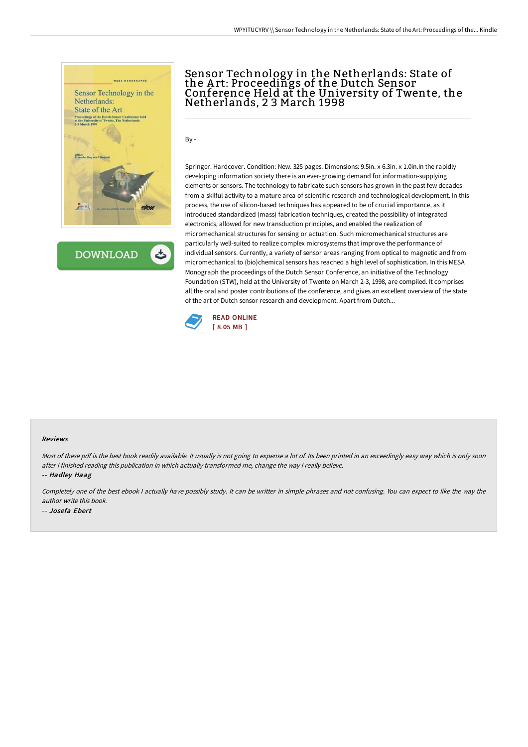

**DOWNLOAD** 

# Sensor Technology in the Netherlands: State of the A rt: Proceedings of the Dutch Sensor Conference Held at the University of Twente, the Netherlands, 2 3 March 1998

By -

Springer. Hardcover. Condition: New. 325 pages. Dimensions: 9.5in. x 6.3in. x 1.0in.In the rapidly developing information society there is an ever-growing demand for information-supplying elements or sensors. The technology to fabricate such sensors has grown in the past few decades from a skilful activity to a mature area of scientific research and technological development. In this process, the use of silicon-based techniques has appeared to be of crucial importance, as it introduced standardized (mass) fabrication techniques, created the possibility of integrated electronics, allowed for new transduction principles, and enabled the realization of micromechanical structures for sensing or actuation. Such micromechanical structures are particularly well-suited to realize complex microsystems that improve the performance of individual sensors. Currently, a variety of sensor areas ranging from optical to magnetic and from micromechanical to (bio)chemical sensors has reached a high level of sophistication. In this MESA Monograph the proceedings of the Dutch Sensor Conference, an initiative of the Technology Foundation (STW), held at the University of Twente on March 2-3, 1998, are compiled. It comprises all the oral and poster contributions of the conference, and gives an excellent overview of the state of the art of Dutch sensor research and development. Apart from Dutch...



#### Reviews

Most of these pdf is the best book readily available. It usually is not going to expense <sup>a</sup> lot of. Its been printed in an exceedingly easy way which is only soon after i finished reading this publication in which actually transformed me, change the way i really believe.

-- Hadley Haag

Completely one of the best ebook <sup>I</sup> actually have possibly study. It can be writter in simple phrases and not confusing. You can expect to like the way the author write this book.

-- Josefa Ebert